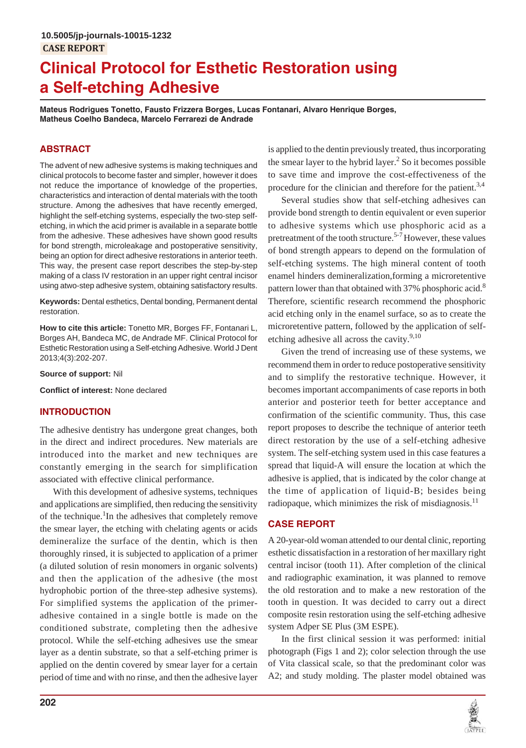# **Clinical Protocol for Esthetic Restoration using a Self-etching Adhesive**

**Mateus Rodrigues Tonetto, Fausto Frizzera Borges, Lucas Fontanari, Alvaro Henrique Borges, Matheus Coelho Bandeca, Marcelo Ferrarezi de Andrade**

## **ABSTRACT**

The advent of new adhesive systems is making techniques and clinical protocols to become faster and simpler, however it does not reduce the importance of knowledge of the properties, characteristics and interaction of dental materials with the tooth structure. Among the adhesives that have recently emerged, highlight the self-etching systems, especially the two-step selfetching, in which the acid primer is available in a separate bottle from the adhesive. These adhesives have shown good results for bond strength, microleakage and postoperative sensitivity, being an option for direct adhesive restorations in anterior teeth. This way, the present case report describes the step-by-step making of a class IV restoration in an upper right central incisor using atwo-step adhesive system, obtaining satisfactory results.

**Keywords:** Dental esthetics, Dental bonding, Permanent dental restoration.

**How to cite this article:** Tonetto MR, Borges FF, Fontanari L, Borges AH, Bandeca MC, de Andrade MF. Clinical Protocol for Esthetic Restoration using a Self-etching Adhesive. World J Dent 2013;4(3):202-207.

**Source of support:** Nil

**Conflict of interest:** None declared

### **INTRODUCTION**

The adhesive dentistry has undergone great changes, both in the direct and indirect procedures. New materials are introduced into the market and new techniques are constantly emerging in the search for simplification associated with effective clinical performance.

With this development of adhesive systems, techniques and applications are simplified, then reducing the sensitivity of the technique.<sup>1</sup>In the adhesives that completely remove the smear layer, the etching with chelating agents or acids demineralize the surface of the dentin, which is then thoroughly rinsed, it is subjected to application of a primer (a diluted solution of resin monomers in organic solvents) and then the application of the adhesive (the most hydrophobic portion of the three-step adhesive systems). For simplified systems the application of the primeradhesive contained in a single bottle is made on the conditioned substrate, completing then the adhesive protocol. While the self-etching adhesives use the smear layer as a dentin substrate, so that a self-etching primer is applied on the dentin covered by smear layer for a certain period of time and with no rinse, and then the adhesive layer

is applied to the dentin previously treated, thus incorporating the smear layer to the hybrid layer.<sup>2</sup> So it becomes possible to save time and improve the cost-effectiveness of the procedure for the clinician and therefore for the patient.<sup>3,4</sup>

Several studies show that self-etching adhesives can provide bond strength to dentin equivalent or even superior to adhesive systems which use phosphoric acid as a pretreatment of the tooth structure.<sup>5-7</sup> However, these values of bond strength appears to depend on the formulation of self-etching systems. The high mineral content of tooth enamel hinders demineralization,forming a microretentive pattern lower than that obtained with 37% phosphoric acid.<sup>8</sup> Therefore, scientific research recommend the phosphoric acid etching only in the enamel surface, so as to create the microretentive pattern, followed by the application of selfetching adhesive all across the cavity.<sup>9,10</sup>

Given the trend of increasing use of these systems, we recommend them in order to reduce postoperative sensitivity and to simplify the restorative technique. However, it becomes important accompaniments of case reports in both anterior and posterior teeth for better acceptance and confirmation of the scientific community. Thus, this case report proposes to describe the technique of anterior teeth direct restoration by the use of a self-etching adhesive system. The self-etching system used in this case features a spread that liquid-A will ensure the location at which the adhesive is applied, that is indicated by the color change at the time of application of liquid-B; besides being radiopaque, which minimizes the risk of misdiagnosis. $^{11}$ 

### **CASE REPORT**

A 20-year-old woman attended to our dental clinic, reporting esthetic dissatisfaction in a restoration of her maxillary right central incisor (tooth 11). After completion of the clinical and radiographic examination, it was planned to remove the old restoration and to make a new restoration of the tooth in question. It was decided to carry out a direct composite resin restoration using the self-etching adhesive system Adper SE Plus (3M ESPE).

In the first clinical session it was performed: initial photograph (Figs 1 and 2); color selection through the use of Vita classical scale, so that the predominant color was A2; and study molding. The plaster model obtained was

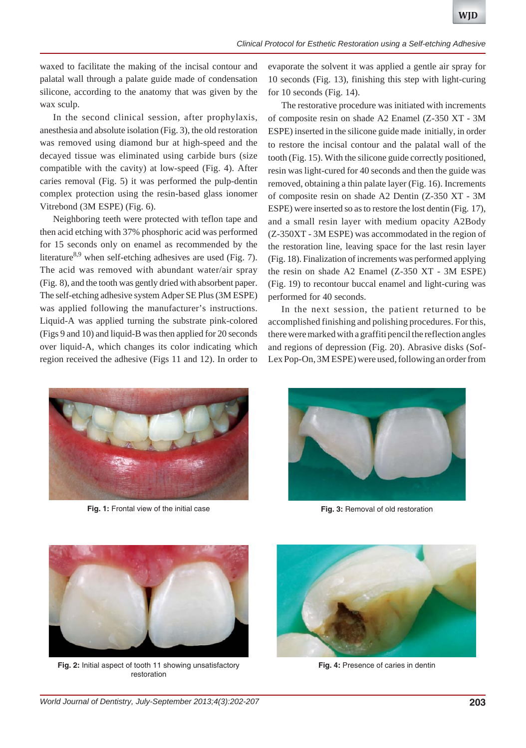waxed to facilitate the making of the incisal contour and palatal wall through a palate guide made of condensation silicone, according to the anatomy that was given by the wax sculp.

In the second clinical session, after prophylaxis, anesthesia and absolute isolation (Fig. 3), the old restoration was removed using diamond bur at high-speed and the decayed tissue was eliminated using carbide burs (size compatible with the cavity) at low-speed (Fig. 4). After caries removal (Fig. 5) it was performed the pulp-dentin complex protection using the resin-based glass ionomer Vitrebond (3M ESPE) (Fig. 6).

Neighboring teeth were protected with teflon tape and then acid etching with 37% phosphoric acid was performed for 15 seconds only on enamel as recommended by the literature<sup>8,9</sup> when self-etching adhesives are used (Fig. 7). The acid was removed with abundant water/air spray (Fig. 8), and the tooth was gently dried with absorbent paper. The self-etching adhesive system Adper SE Plus (3M ESPE) was applied following the manufacturer's instructions. Liquid-A was applied turning the substrate pink-colored (Figs 9 and 10) and liquid-B was then applied for 20 seconds over liquid-A, which changes its color indicating which region received the adhesive (Figs 11 and 12). In order to

evaporate the solvent it was applied a gentle air spray for 10 seconds (Fig. 13), finishing this step with light-curing for 10 seconds (Fig. 14).

The restorative procedure was initiated with increments of composite resin on shade A2 Enamel (Z-350 XT - 3M ESPE) inserted in the silicone guide made initially, in order to restore the incisal contour and the palatal wall of the tooth (Fig. 15). With the silicone guide correctly positioned, resin was light-cured for 40 seconds and then the guide was removed, obtaining a thin palate layer (Fig. 16). Increments of composite resin on shade A2 Dentin (Z-350 XT - 3M ESPE) were inserted so as to restore the lost dentin (Fig. 17), and a small resin layer with medium opacity A2Body (Z-350XT - 3M ESPE) was accommodated in the region of the restoration line, leaving space for the last resin layer (Fig. 18). Finalization of increments was performed applying the resin on shade A2 Enamel (Z-350 XT - 3M ESPE) (Fig. 19) to recontour buccal enamel and light-curing was performed for 40 seconds.

In the next session, the patient returned to be accomplished finishing and polishing procedures. For this, there were marked with a graffiti pencil the reflection angles and regions of depression (Fig. 20). Abrasive disks (Sof-Lex Pop-On, 3M ESPE) were used, following an order from



**Fig. 1:** Frontal view of the initial case



**Fig. 3:** Removal of old restoration



**Fig. 2:** Initial aspect of tooth 11 showing unsatisfactory restoration



**Fig. 4:** Presence of caries in dentin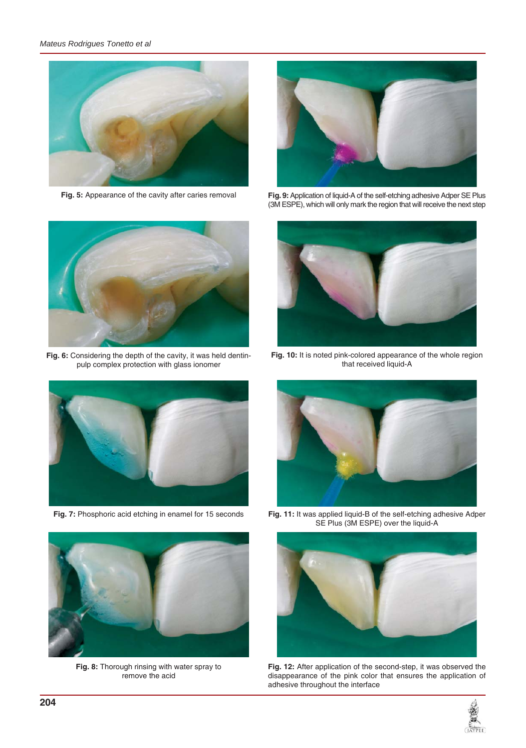

**Fig. 5:** Appearance of the cavity after caries removal



**Fig. 9:** Application of liquid-A of the self-etching adhesive Adper SE Plus (3M ESPE), which will only mark the region that will receive the next step



**Fig. 6:** Considering the depth of the cavity, it was held dentinpulp complex protection with glass ionomer



**Fig. 7:** Phosphoric acid etching in enamel for 15 seconds



**Fig. 10:** It is noted pink-colored appearance of the whole region that received liquid-A





**Fig. 8:** Thorough rinsing with water spray to remove the acid

**Fig. 11:** It was applied liquid-B of the self-etching adhesive Adper SE Plus (3M ESPE) over the liquid-A



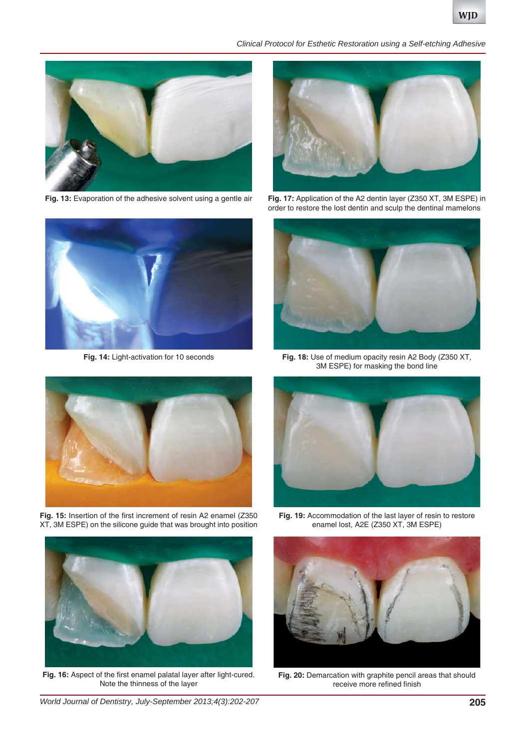*Clinical Protocol for Esthetic Restoration using a Self-etching Adhesive*



**Fig. 13:** Evaporation of the adhesive solvent using a gentle air



**Fig. 14:** Light-activation for 10 seconds



**Fig. 15:** Insertion of the first increment of resin A2 enamel (Z350 XT, 3M ESPE) on the silicone guide that was brought into position



**Fig. 17:** Application of the A2 dentin layer (Z350 XT, 3M ESPE) in order to restore the lost dentin and sculp the dentinal mamelons



**Fig. 18:** Use of medium opacity resin A2 Body (Z350 XT, 3M ESPE) for masking the bond line



**Fig. 19:** Accommodation of the last layer of resin to restore enamel lost, A2E (Z350 XT, 3M ESPE)



**Fig. 16:** Aspect of the first enamel palatal layer after light-cured. Note the thinness of the layer



Fig. 20: Demarcation with graphite pencil areas that should receive more refined finish

*World Journal of Dentistry, July-September 2013;4(3):202-207* **205**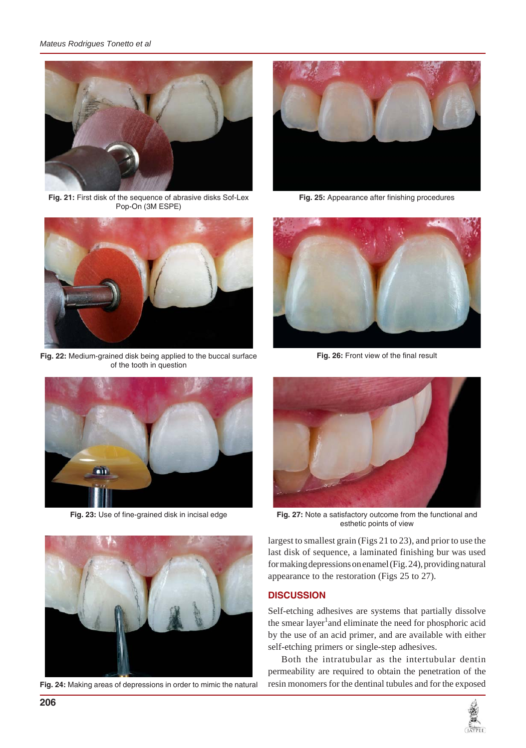

**Fig. 21:** First disk of the sequence of abrasive disks Sof-Lex Pop-On (3M ESPE)



**Fig. 22:** Medium-grained disk being applied to the buccal surface of the tooth in question



**Fig. 23:** Use of fine-grained disk in incisal edge



**Fig. 24:** Making areas of depressions in order to mimic the natural



**Fig. 25:** Appearance after finishing procedures



**Fig. 26:** Front view of the final result



**Fig. 27:** Note a satisfactory outcome from the functional and esthetic points of view

largest to smallest grain (Figs 21 to 23), and prior to use the last disk of sequence, a laminated finishing bur was used for making depressions on enamel (Fig. 24), providing natural appearance to the restoration (Figs 25 to 27).

## **DISCUSSION**

Self-etching adhesives are systems that partially dissolve the smear layer<sup>1</sup> and eliminate the need for phosphoric acid by the use of an acid primer, and are available with either self-etching primers or single-step adhesives.

Both the intratubular as the intertubular dentin permeability are required to obtain the penetration of the resin monomers for the dentinal tubules and for the exposed